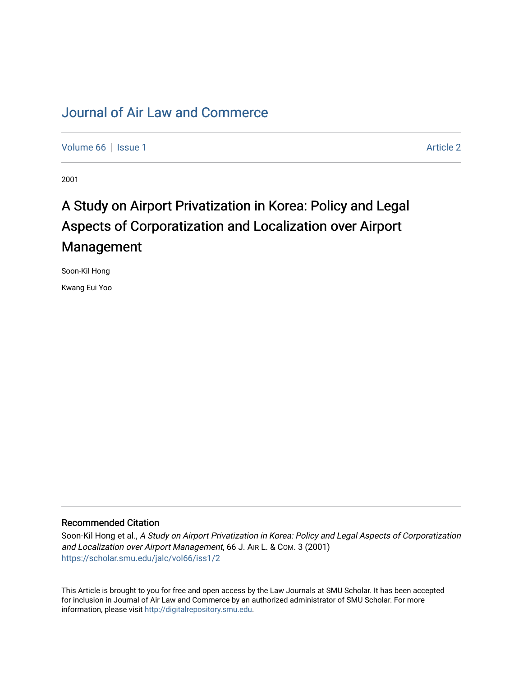## [Journal of Air Law and Commerce](https://scholar.smu.edu/jalc)

[Volume 66](https://scholar.smu.edu/jalc/vol66) | [Issue 1](https://scholar.smu.edu/jalc/vol66/iss1) [Article 2](https://scholar.smu.edu/jalc/vol66/iss1/2) | Article 2 | Article 2 | Article 2 | Article 2 | Article 2 | Article 2 | Article 2

2001

# A Study on Airport Privatization in Korea: Policy and Legal Aspects of Corporatization and Localization over Airport Management

Soon-Kil Hong

Kwang Eui Yoo

## Recommended Citation

Soon-Kil Hong et al., A Study on Airport Privatization in Korea: Policy and Legal Aspects of Corporatization and Localization over Airport Management, 66 J. AIR L. & COM. 3 (2001) [https://scholar.smu.edu/jalc/vol66/iss1/2](https://scholar.smu.edu/jalc/vol66/iss1/2?utm_source=scholar.smu.edu%2Fjalc%2Fvol66%2Fiss1%2F2&utm_medium=PDF&utm_campaign=PDFCoverPages) 

This Article is brought to you for free and open access by the Law Journals at SMU Scholar. It has been accepted for inclusion in Journal of Air Law and Commerce by an authorized administrator of SMU Scholar. For more information, please visit [http://digitalrepository.smu.edu](http://digitalrepository.smu.edu/).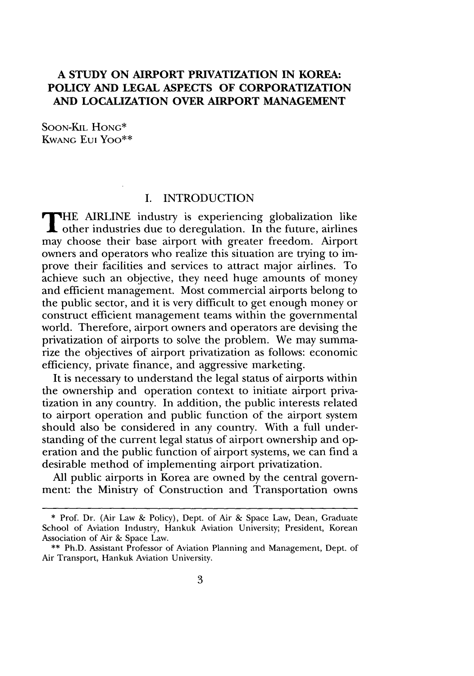## **A STUDY ON AIRPORT PRIVATIZATION IN KOREA: POLICY AND LEGAL ASPECTS OF CORPORATIZATION AND LOCALIZATION OVER AIRPORT MANAGEMENT**

SOON-KIL HONG\* KWANG Eui Yoo\*\*

## I. INTRODUCTION

**THE AIRLINE** industry is experiencing globalization like THE AIKLINE INCOMES TO CAPPLE THE AIKLINE INCOMES CONTROLLED TO OTHER may choose their base airport with greater freedom. Airport owners and operators who realize this situation are trying to improve their facilities and services to attract major airlines. To achieve such an objective, they need huge amounts of money and efficient management. Most commercial airports belong to the public sector, and it is very difficult to get enough money or construct efficient management teams within the governmental world. Therefore, airport owners and operators are devising the privatization of airports to solve the problem. We may summarize the objectives of airport privatization as follows: economic efficiency, private finance, and aggressive marketing.

It is necessary to understand the legal status of airports within the ownership and operation context to initiate airport privatization in any country. In addition, the public interests related to airport operation and public function of the airport system should also be considered in any country. With a full understanding of the current legal status of airport ownership and operation and the public function of airport systems, we can find a desirable method of implementing airport privatization.

All public airports in Korea are owned by the central government: the Ministry of Construction and Transportation owns

**<sup>\*</sup>** Prof. Dr. (Air Law & Policy), Dept. of Air & Space Law, Dean, Graduate School of Aviation Industry, Hankuk Aviation University; President, Korean Association of Air & Space Law.

<sup>\*\*</sup> Ph.D. Assistant Professor of Aviation Planning and Management, Dept. of Air Transport, Hankuk Aviation University.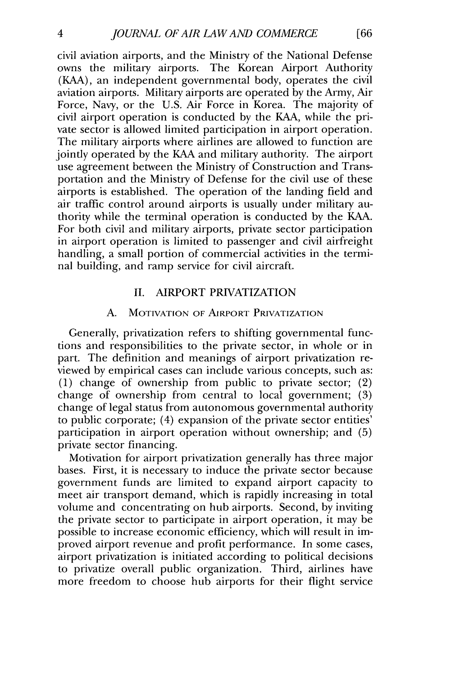civil aviation airports, and the Ministry of the National Defense owns the military airports. The Korean Airport Authority (KAA), an independent governmental body, operates the civil aviation airports. Military airports are operated by the Army, Air Force, Navy, or the U.S. Air Force in Korea. The majority of civil airport operation is conducted by the KAA, while the private sector is allowed limited participation in airport operation. The military airports where airlines are allowed to function are jointly operated by the KAA and military authority. The airport use agreement between the Ministry of Construction and Transportation and the Ministry of Defense for the civil use of these airports is established. The operation of the landing field and air traffic control around airports is usually under military authority while the terminal operation is conducted by the KAA. For both civil and military airports, private sector participation in airport operation is limited to passenger and civil airfreight handling, a small portion of commercial activities in the terminal building, and ramp service for civil aircraft.

## II. AIRPORT PRIVATIZATION

## A. MOTIVATION OF AiRPORT PRIVATIZATION

Generally, privatization refers to shifting governmental functions and responsibilities to the private sector, in whole or in part. The definition and meanings of airport privatization reviewed by empirical cases can include various concepts, such as: (1) change of ownership from public to private sector; (2) change of ownership from central to local government; (3) change of legal status from autonomous governmental authority to public corporate; (4) expansion of the private sector entities' participation in airport operation without ownership; and (5) private sector financing.

Motivation for airport privatization generally has three major bases. First, it is necessary to induce the private sector because government funds are limited to expand airport capacity to meet air transport demand, which is rapidly increasing in total volume and concentrating on hub airports. Second, by inviting the private sector to participate in airport operation, it may be possible to increase economic efficiency, which will result in improved airport revenue and profit performance. In some cases, airport privatization is initiated according to political decisions to privatize overall public organization. Third, airlines have more freedom to choose hub airports for their flight service

**[66**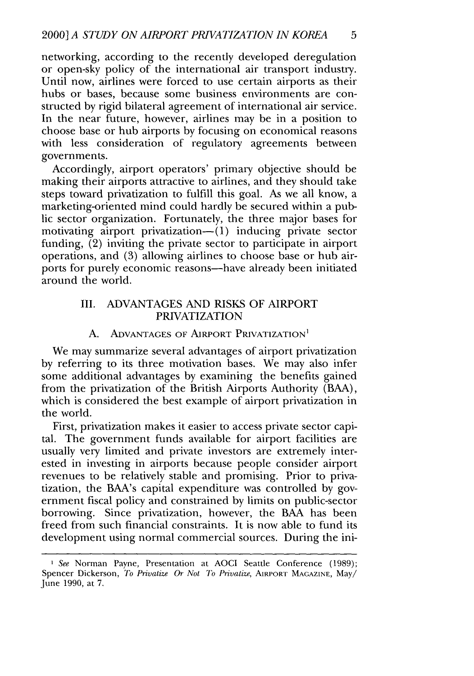networking, according to the recently developed deregulation or open-sky policy of the international air transport industry. Until now, airlines were forced to use certain airports as their hubs or bases, because some business environments are constructed by rigid bilateral agreement of international air service. In the near future, however, airlines may be in a position to choose base or hub airports by focusing on economical reasons with less consideration of regulatory agreements between governments.

Accordingly, airport operators' primary objective should be making their airports attractive to airlines, and they should take steps toward privatization to fulfill this goal. As we all know, a marketing-oriented mind could hardly be secured within a public sector organization. Fortunately, the three major bases for motivating airport privatization— $(1)$  inducing private sector funding, (2) inviting the private sector to participate in airport operations, and (3) allowing airlines to choose base or hub airports for purely economic reasons-have already been initiated around the world.

## III. ADVANTAGES AND RISKS OF AIRPORT PRIVATIZATION

## A. ADVANTAGES OF AIRPORT PRIVATIZATION<sup>1</sup>

We may summarize several advantages of airport privatization by referring to its three motivation bases. We may also infer some additional advantages by examining the benefits gained from the privatization of the British Airports Authority (BAA), which is considered the best example of airport privatization in the world.

First, privatization makes it easier to access private sector capital. The government funds available for airport facilities are usually very limited and private investors are extremely interested in investing in airports because people consider airport revenues to be relatively stable and promising. Prior to privatization, the BAA's capital expenditure was controlled by government fiscal policy and constrained by limits on public-sector borrowing. Since privatization, however, the BAA has been freed from such financial constraints. It is now able to fund its development using normal commercial sources. During the ini-

*ISee* Norman Payne, Presentation at AOCI Seattle Conference (1989); Spencer Dickerson, *To Privatize Or Not To Privatize,* AIRPORT **MAGAZINE,** May/ June 1990, at **7.**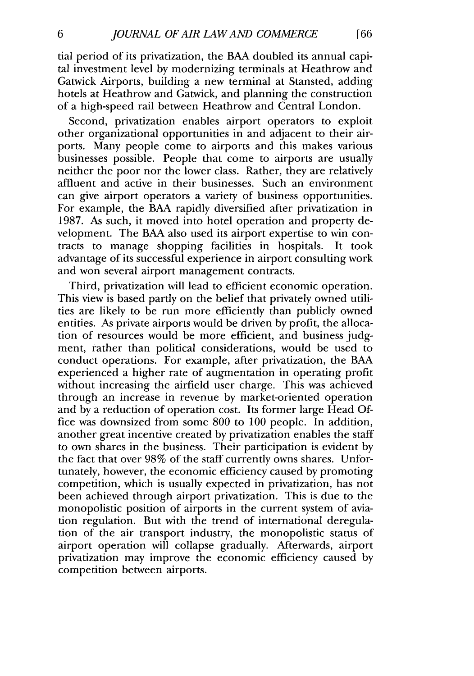tial period of its privatization, the BAA doubled its annual capital investment level by modernizing terminals at Heathrow and Gatwick Airports, building a new terminal at Stansted, adding hotels at Heathrow and Gatwick, and planning the construction of a high-speed rail between Heathrow and Central London.

Second, privatization enables airport operators to exploit other organizational opportunities in and adjacent to their airports. Many people come to airports and this makes various businesses possible. People that come to airports are usually neither the poor nor the lower class. Rather, they are relatively affluent and active in their businesses. Such an environment can give airport operators a variety of business opportunities. For example, the BAA rapidly diversified after privatization in 1987. As such, it moved into hotel operation and property development. The BAA also used its airport expertise to win contracts to manage shopping facilities in hospitals. It took advantage of its successful experience in airport consulting work and won several airport management contracts.

Third, privatization will lead to efficient economic operation. This view is based partly on the belief that privately owned utilities are likely to be run more efficiently than publicly owned entities. As private airports would be driven by profit, the allocation of resources would be more efficient, and business judgment, rather than political considerations, would be used to conduct operations. For example, after privatization, the BAA experienced a higher rate of augmentation in operating profit without increasing the airfield user charge. This was achieved through an increase in revenue by market-oriented operation and by a reduction of operation cost. Its former large Head Office was downsized from some 800 to 100 people. In addition, another great incentive created by privatization enables the staff to own shares in the business. Their participation is evident by the fact that over 98% of the staff currently owns shares. Unfortunately, however, the economic efficiency caused by promoting competition, which is usually expected in privatization, has not been achieved through airport privatization. This is due to the monopolistic position of airports in the current system of aviation regulation. But with the trend of international deregulation of the air transport industry, the monopolistic status of airport operation will collapse gradually. Afterwards, airport privatization may improve the economic efficiency caused by competition between airports.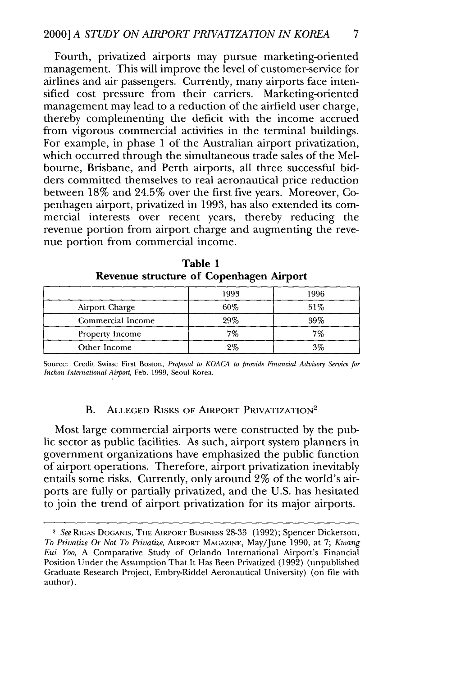Fourth, privatized airports may pursue marketing-oriented management. This will improve the level of customer-service for airlines and air passengers. Currently, many airports face intensified cost pressure from their carriers. Marketing-oriented management may lead to a reduction of the airfield user charge, thereby complementing the deficit with the income accrued from vigorous commercial activities in the terminal buildings. For example, in phase 1 of the Australian airport privatization, which occurred through the simultaneous trade sales of the Melbourne, Brisbane, and Perth airports, all three successful bidders committed themselves to real aeronautical price reduction between 18% and 24.5% over the first five years. Moreover, Copenhagen airport, privatized in 1993, has also extended its commercial interests over recent years, thereby reducing the revenue portion from airport charge and augmenting the revenue portion from commercial income.

|                   | -    |      |
|-------------------|------|------|
|                   | 1993 | 1996 |
| Airport Charge    | 60%  | 51%  |
| Commercial Income | 29%  | 39%  |
| Property Income   | 7%   | 7%   |
| Other Income      | 2%   | 3%   |

Table **1 Revenue structure of Copenhagen Airport**

Source: Credit Swisse First Boston, *Proposal to KOACA to provide Financial Advisory Service for Inchon International Airport,* Feb. **1999,** Seoul Korea.

## **B.** ALLEGED RISKS OF AIRPORT PRIVATIZATION<sup>2</sup>

Most large commercial airports were constructed **by** the public sector as public facilities. As such, airport system planners in government organizations have emphasized the public function of airport operations. Therefore, airport privatization inevitably entails some risks. Currently, only around 2% of the world's airports are fully or partially privatized, and the **U.S.** has hesitated to join the trend of airport privatization for its major airports.

<sup>2</sup> *See* RiGAs DOGANIS, THE AIRPORT BUSINESS **28-33 (1992);** Spencer Dickerson, *To Privatize Or Not To Privatize,* AIRPORT MAGAZINE, May/June **1990,** at **7;** *Kwang Eui Yoo,* **A** Comparative Study of Orlando International Airport's Financial Position Under the Assumption That It Has Been Privatized **(1992)** (unpublished Graduate Research Project, Embry-Riddel Aeronautical University) (on **file** with author).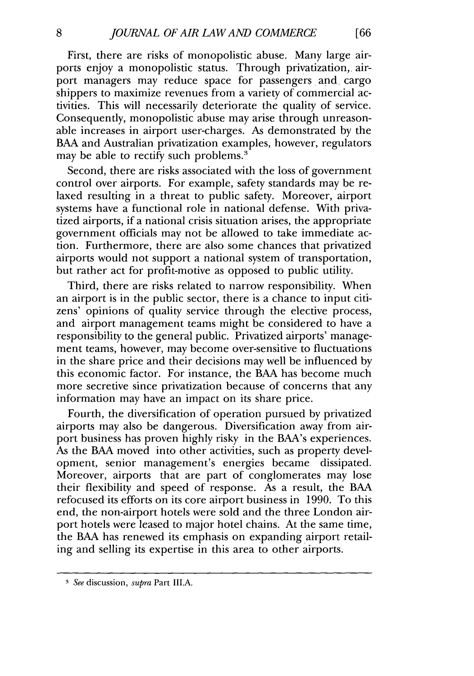First, there are risks of monopolistic abuse. Many large airports enjoy a monopolistic status. Through privatization, airport managers may reduce space for passengers and, cargo shippers to maximize revenues from a variety of commercial activities. This will necessarily deteriorate the quality of service. Consequently, monopolistic abuse may arise through unreasonable increases in airport user-charges. As demonstrated by the BAA and Australian privatization examples, however, regulators may be able to rectify such problems.<sup>3</sup>

Second, there are risks associated with the loss of government control over airports. For example, safety standards may be relaxed resulting in a threat to public safety. Moreover, airport systems have a functional role in national defense. With privatized airports, if a national crisis situation arises, the appropriate government officials may not be allowed to take immediate action. Furthermore, there are also some chances that privatized airports would not support a national system of transportation, but rather act for profit-motive as opposed to public utility.

Third, there are risks related to narrow responsibility. When an airport is in the public sector, there is a chance to input citizens' opinions of quality service through the elective process, and airport management teams might be considered to have a responsibility to the general public. Privatized airports' management teams, however, may become over-sensitive to fluctuations in the share price and their decisions may well be influenced by this economic factor. For instance, the BAA has become much more secretive since privatization because of concerns that any information may have an impact on its share price.

Fourth, the diversification of operation pursued by privatized airports may also be dangerous. Diversification away from airport business has proven highly risky in the BAA's experiences. As the BAA moved into other activities, such as property development, senior management's energies became dissipated. Moreover, airports that are part of conglomerates may lose their flexibility and speed of response. As a result, the BAA refocused its efforts on its core airport business in 1990. To this end, the non-airport hotels were sold and the three London airport hotels were leased to major hotel chains. At the same time, the BAA has renewed its emphasis on expanding airport retailing and selling its expertise in this area to other airports.

*<sup>3</sup> See* discussion, *supra* Part III.A.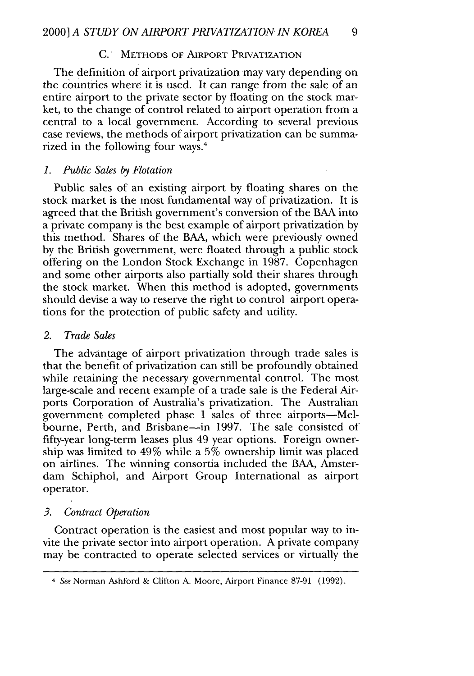#### C. **METHODS** OF AIRPORT PRIVATIZATION

The definition of airport privatization may vary depending on the countries where it is used. It can range from the sale of an entire airport to the private sector by floating on the stock market, to the change of control related to airport operation from a central to a local government. According to several previous case reviews, the methods of airport privatization can be summarized in the following four ways.4

#### *1. Public Sales by Flotation*

Public sales of an existing airport by floating shares on the stock market is the most fundamental way of privatization. It is agreed that the British government's conversion of the **BAA** into a private company is the best example of airport privatization by this method. Shares of the BAA, which were previously owned by the British government, were floated through a public stock offering on the London Stock Exchange in 1987. Copenhagen and some other airports also partially sold their shares through the stock market. When this method is adopted, governments should devise a way to reserve the right to control airport operations for the protection of public safety and utility.

## *2. Trade Sales*

The advantage of airport privatization through trade sales is that the benefit of privatization can still be profoundly obtained while retaining the necessary governmental control. The most large-scale and recent example of a trade sale is the Federal Airports Corporation of Australia's privatization. The Australian government completed phase 1 sales of three airports-Melbourne, Perth, and Brisbane-in 1997. The sale consisted of fifty-year long-term leases plus 49 year options. Foreign ownership was limited to 49% while a 5% ownership limit was placed on airlines. The winning consortia included the BAA, Amsterdam Schiphol, and Airport Group International as airport operator.

#### *3. Contract Operation*

Contract operation is the easiest and most popular way to invite the private sector into airport operation. A private company may be contracted to operate selected services or virtually the

*<sup>4</sup>* See Norman Ashford & Clifton A. Moore, Airport Finance 87-91 (1992).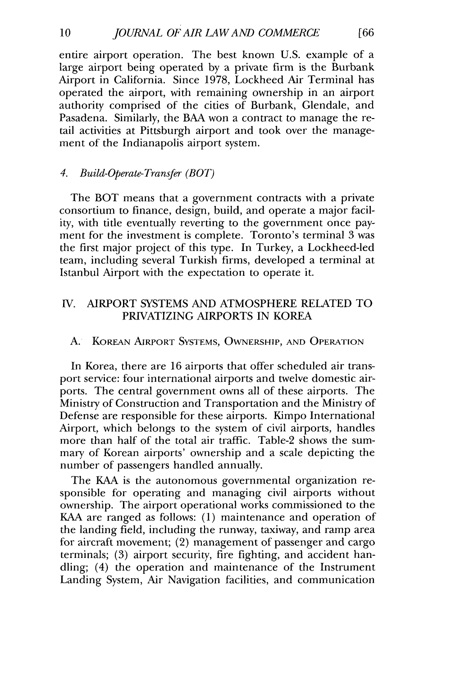entire airport operation. The best known U.S. example of a large airport being operated by a private firm is the Burbank Airport in California. Since 1978, Lockheed Air Terminal has operated the airport, with remaining ownership in an airport authority comprised of the cities of Burbank, Glendale, and Pasadena. Similarly, the BAA won a contract to manage the retail activities at Pittsburgh airport and took over the management of the Indianapolis airport system.

## *4. Build-Operate-Transfer (BOT)*

The BOT means that a government contracts with a private consortium to finance, design, build, and operate a major facility, with title eventually reverting to the government once payment for the investment is complete. Toronto's terminal 3 was the first major project of this type. In Turkey, a Lockheed-led team, including several Turkish firms, developed a terminal at Istanbul Airport with the expectation to operate it.

## IV. AIRPORT SYSTEMS AND ATMOSPHERE RELATED TO PRIVATIZING AIRPORTS IN KOREA

A. KOREAN AIRPORT **SYSTEMS,** OWNERSHIP, **AND** OPERATION

In Korea, there are 16 airports that offer scheduled air transport service: four international airports and twelve domestic airports. The central government owns all of these airports. The Ministry of Construction and Transportation and the Ministry of Defense are responsible for these airports. Kimpo International Airport, which belongs to the system of civil airports, handles more than half of the total air traffic. Table-2 shows the summary of Korean airports' ownership and a scale depicting the number of passengers handled annually.

The KAA is the autonomous governmental organization responsible for operating and managing civil airports without ownership. The airport operational works commissioned to the KAA are ranged as follows: (1) maintenance and operation of the landing field, including the runway, taxiway, and ramp area for aircraft movement; (2) management of passenger and cargo terminals; (3) airport security, fire fighting, and accident handling; (4) the operation and maintenance of the Instrument Landing System, Air Navigation facilities, and communication

10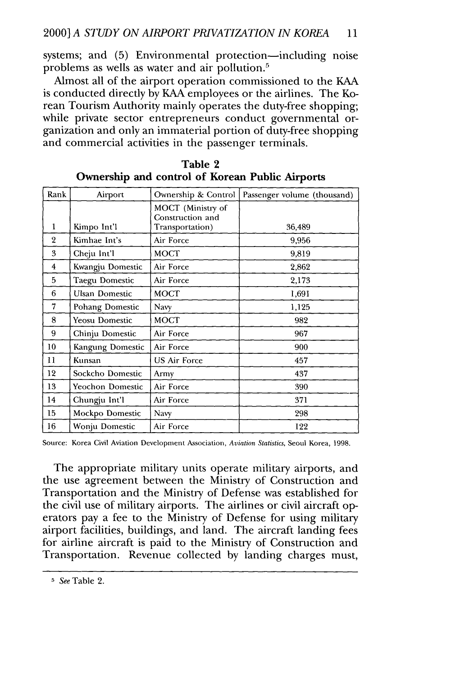systems; and (5) Environmental protection—including noise problems as wells as water and air pollution.<sup>5</sup>

Almost all of the airport operation commissioned to the KAA is conducted directly **by** KAA employees or the airlines. The Korean Tourism Authority mainly operates the duty-free shopping; while private sector entrepreneurs conduct governmental organization and only an immaterial portion of duty-free shopping and commercial activities in the passenger terminals.

| Rank           | Airport               | Ownership & Control                   | Passenger volume (thousand) |
|----------------|-----------------------|---------------------------------------|-----------------------------|
|                |                       | MOCT (Ministry of<br>Construction and |                             |
| 1              | Kimpo Int'l           | Transportation)                       | 36,489                      |
| $\overline{2}$ | Kimhae Int's          | Air Force                             | 9,956                       |
| 3              | Cheju Int'l           | <b>MOCT</b>                           | 9,819                       |
| 4              | Kwangju Domestic      | Air Force                             | 2,862                       |
| 5              | Taegu Domestic        | Air Force                             | 2,173                       |
| 6              | Ulsan Domestic        | MOCT                                  | 1,691                       |
| 7              | Pohang Domestic       | Navy                                  | 1,125                       |
| 8              | <b>Yeosu Domestic</b> | <b>MOCT</b>                           | 982                         |
| 9              | Chinju Domestic       | Air Force                             | 967                         |
| 10             | Kangung Domestic      | Air Force                             | 900                         |
| 11             | Kunsan                | <b>US Air Force</b>                   | 457                         |
| 12             | Sockcho Domestic      | Army                                  | 437                         |
| 13             | Yeochon Domestic      | Air Force                             | 390                         |
| 14             | Chungju Int'l         | Air Force                             | 371                         |
| 15             | Mockpo Domestic       | Navy                                  | 298                         |
| 16             | Wonju Domestic        | Air Force                             | 122                         |

| Table 2                                         |  |  |
|-------------------------------------------------|--|--|
| Ownership and control of Korean Public Airports |  |  |

Source: Korea Civil Aviation Development Association, *Aviation Statistics,* Seoul Korea, **1998.**

The appropriate military units operate military airports, and the use agreement between the Ministry of Construction and Transportation and the Ministry of Defense was established for the civil use of military airports. The airlines or civil aircraft operators pay a fee to the Ministry of Defense for using military airport facilities, buildings, and land. The aircraft landing fees for airline aircraft is paid to the Ministry of Construction and Transportation. Revenue collected **by** landing charges must,

*<sup>5</sup>* See Table 2.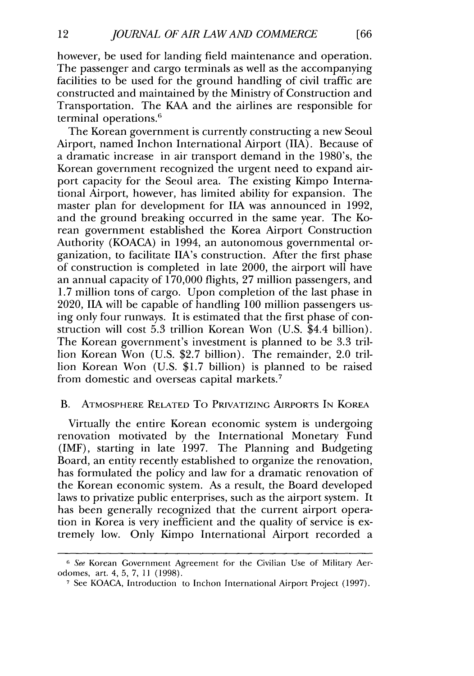however, be used for landing field maintenance and operation. The passenger and cargo terminals as well as the accompanying facilities to be used for the ground handling of civil traffic are constructed and maintained by the Ministry of Construction and Transportation. The KAA and the airlines are responsible for terminal operations.<sup>6</sup>

The Korean government is currently constructing a new Seoul Airport, named Inchon International Airport (11A). Because of a dramatic increase in air transport demand in the 1980's, the Korean government recognized the urgent need to expand airport capacity for the Seoul area. The existing Kimpo International Airport, however, has limited ability for expansion. The master plan for development for **IIA** was announced in 1992, and the ground breaking occurred in the same year. The Korean government established the Korea Airport Construction Authority (KOACA) in 1994, an autonomous governmental organization, to facilitate IIA's construction. After the first phase of construction is completed in late 2000, the airport will have an annual capacity of 170,000 flights, 27 million passengers, and 1.7 million tons of cargo. Upon completion of the last phase in 2020, **IIA** will be capable of handling 100 million passengers using only four runways. It is estimated that the first phase of construction will cost 5.3 trillion Korean Won (U.S. \$4.4 billion). The Korean government's investment is planned to be 3.3 trillion Korean Won (U.S. \$2.7 billion). The remainder, 2.0 trillion Korean Won (U.S. \$1.7 billion) is planned to be raised from domestic and overseas capital markets. <sup>7</sup>

## B. ATMOSPHERE RELATED To PRIVATIZING AiRPORTS IN KOREA

Virtually the entire Korean economic system is undergoing renovation motivated by the International Monetary Fund (IMF), starting in late 1997. The Planning and Budgeting Board, an entity recently established to organize the renovation, has formulated the policy and law for a dramatic renovation of the Korean economic system. As a result, the Board developed laws to privatize public enterprises, such as the airport system. It has been generally recognized that the current airport operation in Korea is very inefficient and the quality of service is extremely low. Only Kimpo International Airport recorded a

<sup>6</sup> See Korean Government Agreement for the Civilian Use of Military Aerodomes, art. 4, 5, 7, **11** (1998).

**<sup>7</sup>** See KOACA, Introduction to Inchon International Airport Project (1997).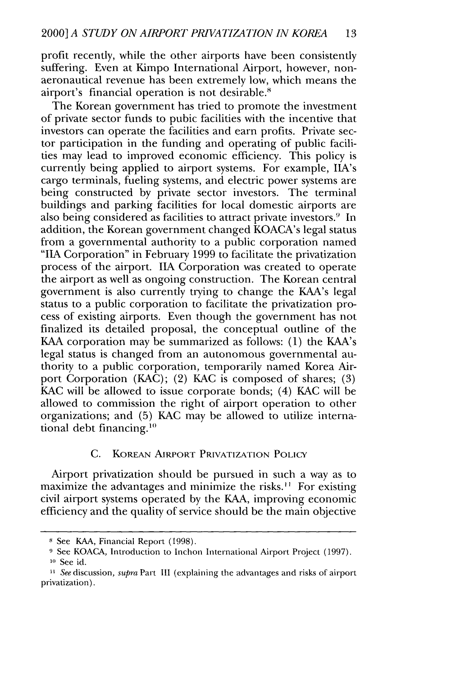profit recently, while the other airports have been consistently suffering. Even at Kimpo International Airport, however, nonaeronautical revenue has been extremely low, which means the airport's financial operation is not desirable.'

The Korean government has tried to promote the investment of private sector funds to pubic facilities with the incentive that investors can operate the facilities and earn profits. Private sector participation in the funding and operating of public facilities may lead to improved economic efficiency. This policy is currently being applied to airport systems. For example, IIA's cargo terminals, fueling systems, and electric power systems are being constructed by private sector investors. The terminal buildings and parking facilities for local domestic airports are also being considered as facilities to attract private investors." In addition, the Korean government changed KOACA's legal status from a governmental authority to a public corporation named **"A** Corporation" in February 1999 to facilitate the privatization process of the airport. **IIA** Corporation was created to operate the airport as well as ongoing construction. The Korean central government is also currently trying to change the KAA's legal status to a public corporation to facilitate the privatization process of existing airports. Even though the government has not finalized its detailed proposal, the conceptual outline of the KAA corporation may be summarized as follows: (1) the KAA's legal status is changed from an autonomous governmental authority to a public corporation, temporarily named Korea Airport Corporation (KAC); (2) KAC is composed of shares; (3) KAC will be allowed to issue corporate bonds; (4) KAC will be allowed to commission the right of airport operation to other organizations; and (5) KAC may be allowed to utilize international debt financing.<sup>10</sup>

## C. KOREAN AIRPORT PRIVATIZATION POLICY

Airport privatization should be pursued in such a way as to maximize the advantages and minimize the risks.<sup>11</sup> For existing civil airport systems operated by the KAA, improving economic efficiency and the quality of service should be the main objective

**<sup>8</sup>** See KAA, Financial Report (1998).

**<sup>9</sup>** See KOACA, Introduction to Inchon International Airport Project (1997).

<sup>&</sup>lt;sup>10</sup> See id.

<sup>&</sup>lt;sup>11</sup> See discussion, supra Part III (explaining the advantages and risks of airport privatization).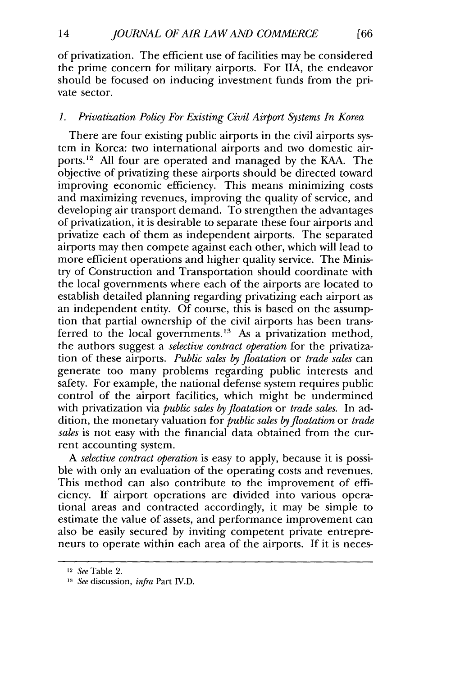of privatization. The efficient use of facilities may be considered the prime concern for military airports. For **IIA,** the endeavor should be focused on inducing investment funds from the private sector.

## *1. Privatization Policy For Existing Civil Airport Systems In Korea*

There are four existing public airports in the civil airports system in Korea: two international airports and two domestic airports.<sup>12</sup> All four are operated and managed by the KAA. The objective of privatizing these airports should be directed toward improving economic efficiency. This means minimizing costs and maximizing revenues, improving the quality of service, and developing air transport demand. To strengthen the advantages of privatization, it is desirable to separate these four airports and privatize each of them as independent airports. The separated airports may then compete against each other, which will lead to more efficient operations and higher quality service. The Ministry of Construction and Transportation should coordinate with the local governments where each of the airports are located to establish detailed planning regarding privatizing each airport as an independent entity. Of course, this is based on the assumption that partial ownership of the civil airports has been transferred to the local governments.<sup>13</sup> As a privatization method, the authors suggest a *selective contract operation* for the privatization of these airports. *Public sales by floatation* or *trade sales* can generate too many problems regarding public interests and safety. For example, the national defense system requires public control of the airport facilities, which might be undermined with privatization via *public sales by floatation* or *trade sales.* In addition, the monetary valuation for *public sales byfloatation* or *trade sales* is not easy with the financial data obtained from the current accounting system.

*A selective contract operation* is easy to apply, because it is possible with only an evaluation of the operating costs and revenues. This method can also contribute to the improvement of efficiency. If airport operations are divided into various operational areas and contracted accordingly, it may be simple to estimate the value of assets, and performance improvement can also be easily secured by inviting competent private entrepreneurs to operate within each area of the airports. If it is neces-

<sup>12</sup>*See* Table 2.

*<sup>1.3</sup> See* discussion, *infra* Part IV.D.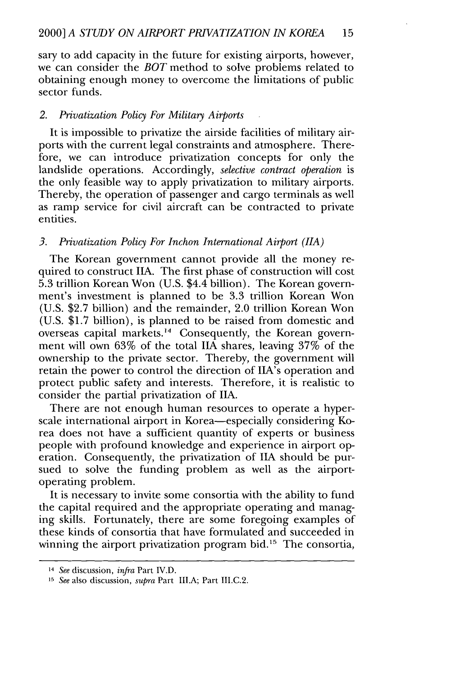sary to add capacity in the future for existing airports, however, we can consider the *BOT* method to solve problems related to obtaining enough money to overcome the limitations of public sector funds.

## *2. Privatization Policy For Military Airports*

It is impossible to privatize the airside facilities of military airports with the current legal constraints and atmosphere. Therefore, we can introduce privatization concepts for only the landslide operations. Accordingly, *selective contract operation* is the only feasible way to apply privatization to military airports. Thereby, the operation of passenger and cargo terminals as well as ramp service for civil aircraft can be contracted to private entities.

## *3. Privatization Policy For Inchon International Airport (11A)*

The Korean government cannot provide all the money required to construct **IIA.** The first phase of construction will cost 5.3 trillion Korean Won (U.S. \$4.4 billion). The Korean government's investment is planned to be 3.3 trillion Korean Won (U.S. \$2.7 billion) and the remainder, 2.0 trillion Korean Won (U.S. \$1.7 billion), is planned to be raised from domestic and overseas capital markets.<sup>14</sup> Consequently, the Korean government will own 63% of the total **IIA** shares, leaving 37% of the ownership to the private sector. Thereby, the government will retain the power to control the direction of IIA's operation and protect public safety and interests. Therefore, it is realistic to consider the partial privatization of **IIA.**

There are not enough human resources to operate a hyperscale international airport in Korea-especially considering Korea does not have a sufficient quantity of experts or business people with profound knowledge and experience in airport operation. Consequently, the privatization of **IIA** should be pursued to solve the funding problem as well as the airportoperating problem.

It is necessary to invite some consortia with the ability to fund the capital required and the appropriate operating and managing skills. Fortunately, there are some foregoing examples of these kinds of consortia that have formulated and succeeded in winning the airport privatization program bid.<sup>15</sup> The consortia,

<sup>14</sup>*See* discussion, *infra* Part IV.D.

**<sup>15</sup>** *See* also discussion, *supra* Part **1ILA;** Part III.C.2.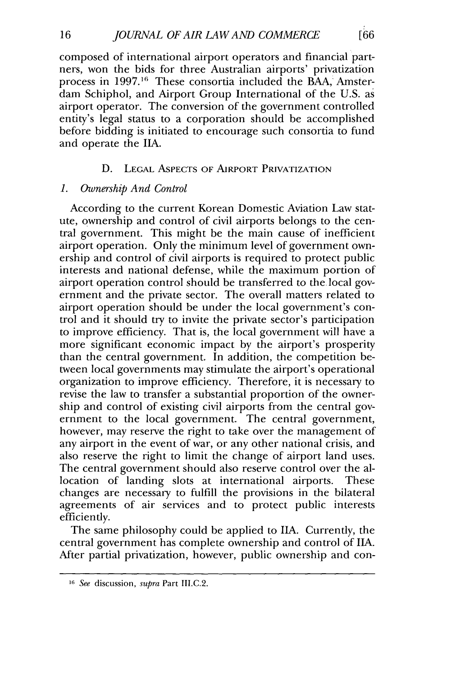composed of international airport operators and financial partners, won the bids for three Australian airports' privatization process in **1997.16** These consortia included the BAA, Amsterdam Schiphol, and Airport Group International of the U.S. as airport operator. The conversion of the government controlled entity's legal status to a corporation should be accomplished before bidding is initiated to encourage such consortia to fund and operate the **IIA.**

## D. LEGAL ASPECTS OF AIRPORT PRIVATIZATION

## *1. Ownership And Control*

16

According to the current Korean Domestic Aviation Law statute, ownership and control of civil airports belongs to the central government. This might be the main cause of inefficient airport operation. Only the minimum level of government ownership and control of civil airports is required to protect public interests and national defense, while the maximum portion of airport operation control should be transferred to the local government and the private sector. The overall matters related to airport operation should be under the local government's control and it should try to invite the private sector's participation to improve efficiency. That is, the local government will have a more significant economic impact by the airport's prosperity than the central government. In addition, the competition between local governments may stimulate the airport's operational organization to improve efficiency. Therefore, it is necessary to revise the law to transfer a substantial proportion of the ownership and control of existing civil airports from the central government to the local government. The central government, however, may reserve the right to take over the management of any airport in the event of war, or any other national crisis, and also reserve the right to limit the change of airport land uses. The central government should also reserve control over the allocation of landing slots at international airports. These changes are necessary to fulfill the provisions in the bilateral agreements of air services and to protect public interests efficiently.

The same philosophy could be applied to **IIA.** Currently, the central government has complete ownership and control of **IIA.** After partial privatization, however, public ownership and con-

**F66** 

**<sup>16</sup>** *See* discussion, *supra* Part III.C.2.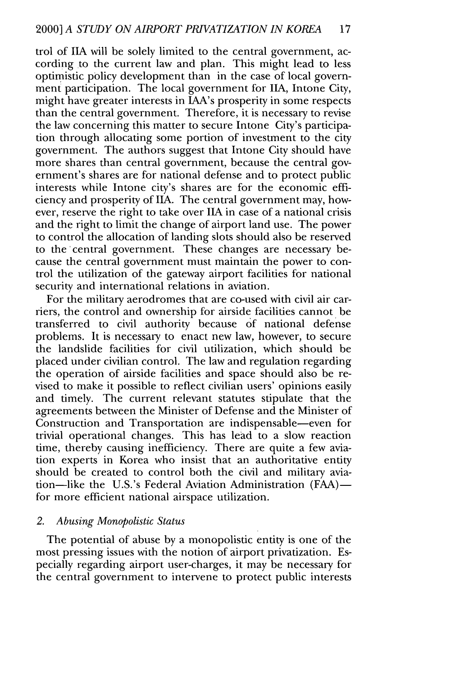trol of **11A** will be solely limited to the central government, according to the current law and plan. This might lead to less optimistic policy development than in the case of local government participation. The local government for **IIA,** Intone City, might have greater interests in IAA's prosperity in some respects than the central government. Therefore, it is necessary to revise the law concerning this matter to secure Intone City's participation through allocating some portion of investment to the city government. The authors suggest that Intone City should have more shares than central government, because the central government's shares are for national defense and to protect public interests while Intone city's shares are for the economic efficiency and prosperity of **IIA.** The central government may, however, reserve the right to take over **IIA** in case of a national crisis and the right to limit the change of airport land use. The power to control the allocation of landing slots should also be reserved to the'central government. These changes are necessary because the central government must maintain the power to control the utilization of the gateway airport facilities for national security and international relations in aviation.

For the military aerodromes that are co-used with civil air carriers, the control and ownership for airside facilities cannot be transferred to civil authority because of national defense problems. It is necessary to enact new law, however, to secure the landslide facilities for civil utilization, which should be placed under civilian control. The law and regulation regarding the operation of airside facilities and space should also be revised to make it possible to reflect civilian users' opinions easily and timely. The current relevant statutes stipulate that the agreements between the Minister of Defense and the Minister of Construction and Transportation are indispensable-even for trivial operational changes. This has lead to a slow reaction time, thereby causing inefficiency. There are quite a few aviation experts in Korea who insist that an authoritative entity should be created to control both the civil and military aviation-like the U.S.'s Federal Aviation Administration (FAA)for more efficient national airspace utilization.

## *2. Abusing Monopolistic Status*

The potential of abuse by a monopolistic entity is one of the most pressing issues with the notion of airport privatization. Especially regarding airport user-charges, it may be necessary for the central government to intervene to protect public interests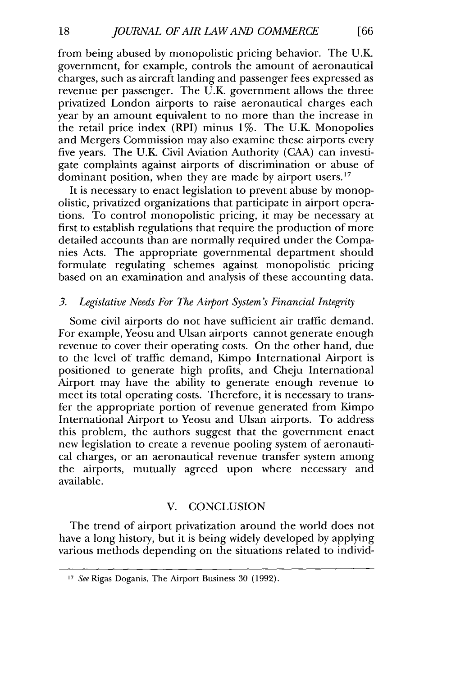from being abused by monopolistic pricing behavior. The U.K. government, for example, controls the amount of aeronautical charges, such as aircraft landing and passenger fees expressed as revenue per passenger. The U.K. government allows the three privatized London airports to raise aeronautical charges each year by an amount equivalent to no more than the increase in the retail price index (RPI) minus 1%. The U.K. Monopolies and Mergers Commission may also examine these airports every five years. The U.K. Civil Aviation Authority (CAA) can investigate complaints against airports of discrimination or abuse of dominant position, when they are made by airport users.<sup>17</sup>

It is necessary to enact legislation to prevent abuse by monopolistic, privatized organizations that participate in airport operations. To control monopolistic pricing, it may be necessary at first to establish regulations that require the production of more detailed accounts than are normally required under the Companies Acts. The appropriate governmental department should formulate regulating schemes against monopolistic pricing based on an examination and analysis of these accounting data.

## *3. Legislative Needs For The Airport System's Financial Integrity*

Some civil airports do not have sufficient air traffic demand. For example, Yeosu and Ulsan airports cannot generate enough revenue to cover their operating costs. On the other hand, due to the level of traffic demand, Kimpo International Airport is positioned to generate high profits, and Cheju International Airport may have the ability to generate enough revenue to meet its total operating costs. Therefore, it is necessary to transfer the appropriate portion of revenue generated from Kimpo International Airport to Yeosu and Ulsan airports. To address this problem, the authors suggest that the government enact new legislation to create a revenue pooling system of aeronautical charges, or an aeronautical revenue transfer system among the airports, mutually agreed upon where necessary and available.

## V. CONCLUSION

The trend of airport privatization around the world does not have a long history, but it is being widely developed by applying various methods depending on the situations related to individ-

18

*<sup>17</sup> See* Rigas Doganis, The Airport Business 30 (1992).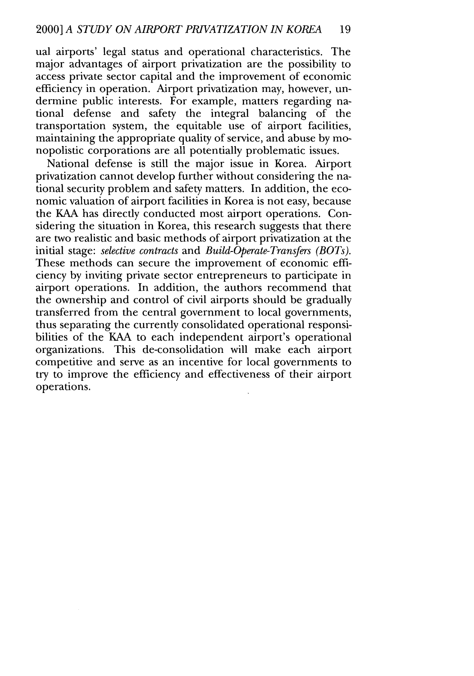ual airports' legal status and operational characteristics. The major advantages of airport privatization are the possibility to access private sector capital and the improvement of economic efficiency in operation. Airport privatization may, however, undermine public interests. For example, matters regarding national defense and safety the integral balancing of the transportation system, the equitable use of airport facilities, maintaining the appropriate quality of service, and abuse by monopolistic corporations are all potentially problematic issues.

National defense is still the major issue in Korea. Airport privatization cannot develop further without considering the national security problem and safety matters. In addition, the economic valuation of airport facilities in Korea is not easy, because the KAA has directly conducted most airport operations. Considering the situation in Korea, this research suggests that there are two realistic and basic methods of airport privatization at the initial stage: *selective contracts* and *Build-Operate-Transfers (BOTs).* These methods can secure the improvement of economic efficiency by inviting private sector entrepreneurs to participate in airport operations. In addition, the authors recommend that the ownership and control of civil airports should be gradually transferred from the central government to local governments, thus separating the currently consolidated operational responsibilities of the KAA to each independent airport's operational organizations. This de-consolidation will make each airport competitive and serve as an incentive for local governments to try to improve the efficiency and effectiveness of their airport operations.